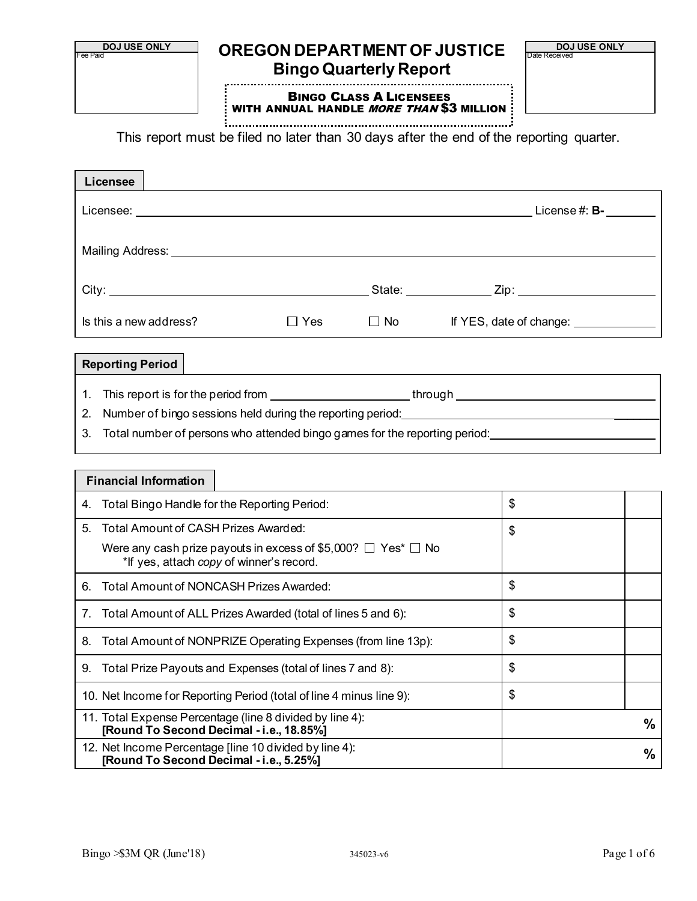

# **DOJ USE ONLY CREGON DEPARTMENT OF JUSTICE Bingo Quarterly Report**

**DOJ USE ONLY** 

BINGO CLASS A LICENSEES WITH ANNUAL HANDLE MORE THAN \$3 MILLION

This report must be filed no later than 30 days after the end of the reporting quarter.

| Licensee                                                                                                                                                                                                                      |            |                        |                                       |
|-------------------------------------------------------------------------------------------------------------------------------------------------------------------------------------------------------------------------------|------------|------------------------|---------------------------------------|
|                                                                                                                                                                                                                               |            |                        | License $\#: \mathsf{B}\text{-}$      |
| Mailing Address: Universe and Address and Address and Address and Address and Address and Address and Address and Address and Address and Address and Address and Address and Address and Address and Address and Address and |            |                        |                                       |
|                                                                                                                                                                                                                               |            |                        |                                       |
| Is this a new address?                                                                                                                                                                                                        | $\Box$ Yes | $\square$ No $\square$ | If YES, date of change: _____________ |
| the contract of the contract of the contract of the contract of the contract of the contract of the contract of                                                                                                               |            |                        |                                       |

### **Reporting Period**

1. This report is for the period from <u>the second of through through</u>

2. Number of bingo sessions held during the reporting period:

3. Total number of persons who attended bingo games for the reporting period:

#### **Financial Information**

| 4. | Total Bingo Handle for the Reporting Period:                                                                        | \$            |
|----|---------------------------------------------------------------------------------------------------------------------|---------------|
| 5. | Total Amount of CASH Prizes Awarded:                                                                                | \$            |
|    | Were any cash prize payouts in excess of \$5,000? $\Box$ Yes* $\Box$ No<br>*If yes, attach copy of winner's record. |               |
| 6. | Total Amount of NONCASH Prizes Awarded:                                                                             | \$            |
|    | Total Amount of ALL Prizes Awarded (total of lines 5 and 6):                                                        | \$            |
| 8. | Total Amount of NONPRIZE Operating Expenses (from line 13p):                                                        | \$            |
| 9. | Total Prize Payouts and Expenses (total of lines 7 and 8):                                                          | \$            |
|    | 10. Net Income for Reporting Period (total of line 4 minus line 9):                                                 | \$            |
|    | 11. Total Expense Percentage (line 8 divided by line 4):<br>[Round To Second Decimal - i.e., 18.85%]                | $\frac{9}{6}$ |
|    | 12. Net Income Percentage [line 10 divided by line 4):<br>[Round To Second Decimal - i.e., 5.25%]                   | $\%$          |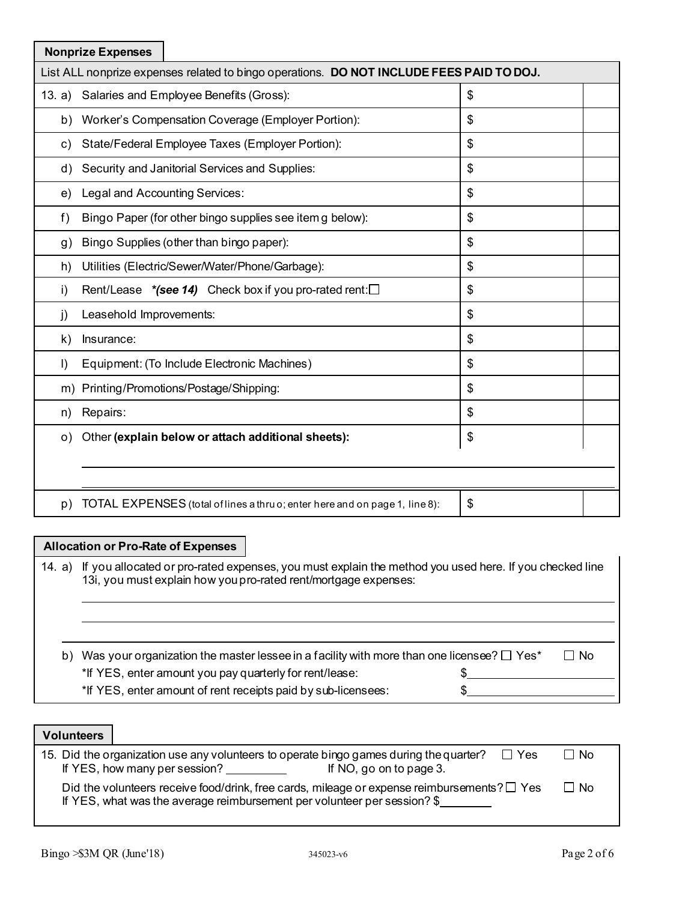|           | <b>Nonprize Expenses</b>                                                                 |               |  |
|-----------|------------------------------------------------------------------------------------------|---------------|--|
|           | List ALL nonprize expenses related to bingo operations. DO NOT INCLUDE FEES PAID TO DOJ. |               |  |
| 13. a)    | Salaries and Employee Benefits (Gross):                                                  | \$            |  |
|           | b) Worker's Compensation Coverage (Employer Portion):                                    | \$            |  |
| C)        | State/Federal Employee Taxes (Employer Portion):                                         | \$            |  |
| d)        | Security and Janitorial Services and Supplies:                                           | \$            |  |
| e)        | Legal and Accounting Services:                                                           | \$            |  |
| f)        | Bingo Paper (for other bingo supplies see item g below):                                 | \$            |  |
| g)        | Bingo Supplies (other than bingo paper):                                                 | \$            |  |
| h)        | Utilities (Electric/Sewer/Water/Phone/Garbage):                                          | \$            |  |
| i)        | Rent/Lease $*(see 14)$ Check box if you pro-rated rent: $\square$                        | \$            |  |
| j)        | Leasehold Improvements:                                                                  | $\frac{1}{2}$ |  |
| k)        | Insurance:                                                                               | $\frac{1}{2}$ |  |
| $\vert$   | Equipment: (To Include Electronic Machines)                                              | \$            |  |
|           | m) Printing/Promotions/Postage/Shipping:                                                 | \$            |  |
| n)        | Repairs:                                                                                 | \$            |  |
| $\circ$ ) | Other (explain below or attach additional sheets):                                       | \$            |  |
|           |                                                                                          |               |  |
|           |                                                                                          |               |  |
| p)        | TOTAL EXPENSES (total of lines a thru o; enter here and on page 1, line 8):              | \$            |  |

## **Allocation or Pro-Rate of Expenses**

14. a) If you allocated or pro-rated expenses, you must explain the method you used here. If you checked line 13i, you must explain how you pro-rated rent/mortgage expenses:

| b) Was your organization the master lessee in a facility with more than one licensee? $\Box$ Yes* | $\Box$ No |
|---------------------------------------------------------------------------------------------------|-----------|
| *If YES, enter amount you pay quarterly for rent/lease:                                           |           |
| *If YES, enter amount of rent receipts paid by sub-licensees:                                     |           |

**Volunteers**

| 15. Did the organization use any volunteers to operate bingo games during the quarter?                                                                                          | $\Box$ Yes | $\Box$ No |
|---------------------------------------------------------------------------------------------------------------------------------------------------------------------------------|------------|-----------|
| If YES, how many per session?<br>If NO, go on to page 3.                                                                                                                        |            |           |
| Did the volunteers receive food/drink, free cards, mileage or expense reimbursements? $\square$ Yes<br>If YES, what was the average reimbursement per volunteer per session? \$ |            | $\Box$ No |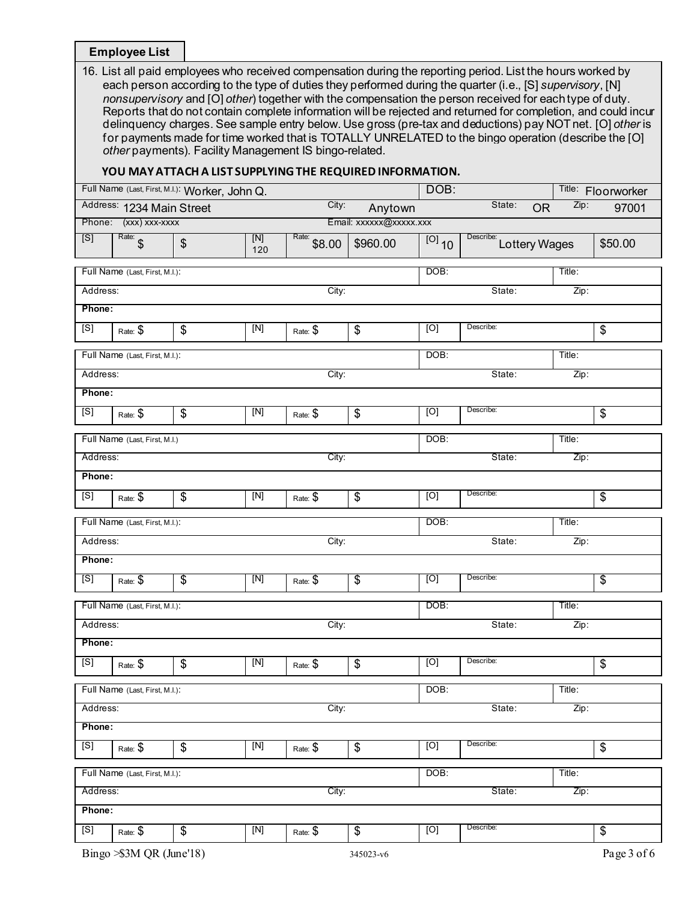# **Employee List**

| 16. List all paid employees who received compensation during the reporting period. List the hours worked by    |
|----------------------------------------------------------------------------------------------------------------|
| each person according to the type of duties they performed during the quarter (i.e., [S] supervisory, [N]      |
| nonsupervisory and [O] other) together with the compensation the person received for each type of duty.        |
| Reports that do not contain complete information will be rejected and returned for completion, and could incur |
| delinguency charges. See sample entry below. Use gross (pre-tax and deductions) pay NOT net. [O] other is      |
| for payments made for time worked that is TOTALLY UNRELATED to the bingo operation (describe the [O]           |
| other payments). Facility Management IS bingo-related.                                                         |

# **YOU MAY ATTACH A LIST SUPPLYING THE REQUIRED INFORMATION.**

| Full Name (Last, First, M.I.): Worker, John Q. |                                |                          |            |                       |                         | DOB:                |                            |        | Title: Floorworker       |
|------------------------------------------------|--------------------------------|--------------------------|------------|-----------------------|-------------------------|---------------------|----------------------------|--------|--------------------------|
| City:<br>Address: 1234 Main Street<br>Anytown  |                                |                          |            |                       |                         |                     | State:<br><b>OR</b>        | Zip:   | 97001                    |
|                                                | Phone: (xxx) xxx-xxxx          |                          |            |                       | Email: xxxxxx@xxxxx.xxx |                     |                            |        |                          |
| [S]                                            | Rate: $\int$                   | $\frac{1}{2}$            | [N]<br>120 | Rate:<br>\$8.00       | \$960.00                | $\overline{[0]}$ 10 | Describe:<br>Lottery Wages |        | \$50.00                  |
|                                                | Full Name (Last, First, M.I.): |                          |            |                       | DOB:                    |                     | Title:                     |        |                          |
| Address:                                       |                                |                          |            | City:                 |                         |                     | State:                     | Zip:   |                          |
| Phone:                                         |                                |                          |            |                       |                         |                     |                            |        |                          |
| [S]                                            | Rate: \$                       | \$                       | [N]        | Rate: \$              | \$                      | [O]                 | Describe:                  |        | \$                       |
|                                                | Full Name (Last, First, M.I.): |                          |            |                       |                         | DOB:                |                            | Title: |                          |
| Address:                                       |                                |                          |            | City:                 |                         |                     | State:                     | Zip:   |                          |
| Phone:                                         |                                |                          |            |                       |                         |                     |                            |        |                          |
| [S]                                            | Rate: \$                       | \$                       | [N]        | Rate: \$              | \$                      | [O]                 | Describe:                  |        | \$                       |
|                                                | Full Name (Last, First, M.I.)  |                          |            |                       |                         | DOB:                |                            | Title: |                          |
| Address:                                       |                                |                          |            | City:                 |                         |                     | State:                     | Zip:   |                          |
| Phone:                                         |                                |                          |            |                       |                         |                     |                            |        |                          |
| [S]                                            | Rate: \$                       | \$                       | [N]        | Rate: \$              | \$                      | [O]                 | Describe:                  |        | \$                       |
|                                                | Full Name (Last, First, M.I.): |                          |            |                       |                         | DOB:                |                            | Title: |                          |
| Address:                                       |                                |                          |            | City:                 |                         |                     | State:                     | Zip:   |                          |
| Phone:                                         |                                |                          |            |                       |                         |                     |                            |        |                          |
| [S]                                            | Rate: \$                       | $\overline{\mathcal{S}}$ | [N]        | Rate: $\overline{\$}$ | $\overline{\$}$         | [O]                 | Describe:                  |        | \$                       |
|                                                | Full Name (Last, First, M.I.): |                          |            |                       |                         | DOB:                |                            | Title: |                          |
| Address:                                       |                                |                          |            | City:                 |                         |                     | State:                     | Zip:   |                          |
| Phone:                                         |                                |                          |            |                       |                         |                     |                            |        |                          |
| [S]                                            | Rate: \$                       | \$                       | $[N]$      | Rate: \$              | \$                      | [O]                 | Describe:                  |        | \$                       |
|                                                | Full Name (Last, First, M.I.): |                          |            |                       |                         | DOB:                |                            | Title: |                          |
| Address:                                       |                                |                          |            | City:                 |                         |                     | State:                     | Zip:   |                          |
| Phone:                                         |                                |                          |            |                       |                         |                     |                            |        |                          |
| [S]                                            | Rate: \$                       | $\overline{\mathcal{E}}$ | [N]        | Rate: \$              | $\overline{\mathbf{e}}$ | [O]                 | Describe:                  |        | $\overline{\mathcal{E}}$ |
|                                                | Full Name (Last, First, M.I.): |                          |            |                       |                         | DOB:                |                            | Title: |                          |
| Address:                                       |                                |                          |            | City:                 |                         |                     | State:                     | Zip:   |                          |
| Phone:                                         |                                |                          |            |                       |                         |                     |                            |        |                          |
| [S]                                            | Rate: \$                       | \$                       | [N]        | Rate: \$              | \$                      | [0]                 | Describe:                  |        | \$                       |
|                                                | Bingo > \$3M QR (June'18)      |                          |            |                       | 345023-v6               |                     |                            |        | Page 3 of 6              |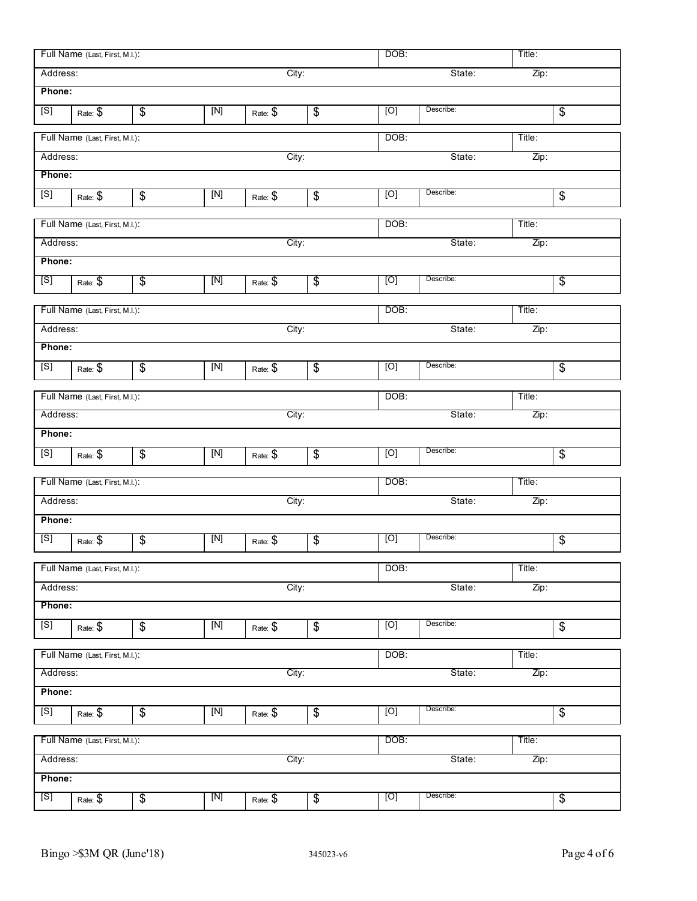|          | Full Name (Last, First, M.I.): |                          |             |          | DOB:<br>Title:           |      |           |        |                          |
|----------|--------------------------------|--------------------------|-------------|----------|--------------------------|------|-----------|--------|--------------------------|
| Address: |                                |                          |             | City:    |                          |      | State:    | Zip:   |                          |
| Phone:   |                                |                          |             |          |                          |      |           |        |                          |
| [S]      | Rate: \$                       | $\frac{1}{2}$            | [N]         | Rate: \$ | \$                       | [O]  | Describe: |        | \$                       |
|          | Full Name (Last, First, M.I.): |                          |             |          | DOB:                     |      | Title:    |        |                          |
| Address: |                                |                          |             | City:    |                          |      | State:    | Zip:   |                          |
| Phone:   |                                |                          |             |          |                          |      |           |        |                          |
| [S]      | Rate: \$                       | \$                       | [N]         | Rate: \$ | \$                       | [O]  | Describe: |        | \$                       |
|          | Full Name (Last, First, M.I.): |                          |             |          |                          | DOB: |           | Title: |                          |
| Address: |                                |                          |             | City:    |                          |      | State:    | Zip:   |                          |
| Phone:   |                                |                          |             |          |                          |      |           |        |                          |
| [S]      | Rate: \$                       | $\overline{\$}$          | [N]         | Rate: \$ | $\overline{\$}$          | [O]  | Describe: |        | \$                       |
|          | Full Name (Last, First, M.I.): |                          |             |          |                          | DOB: |           | Title: |                          |
| Address: |                                |                          |             | City:    |                          |      | State:    | Zip:   |                          |
| Phone:   |                                |                          |             |          |                          |      |           |        |                          |
| [S]      | Rate: \$                       | $\frac{1}{2}$            | [N]         | Rate: \$ | $\frac{1}{2}$            | [O]  | Describe: |        | \$                       |
|          | Full Name (Last, First, M.I.): |                          |             |          |                          | DOB: |           | Title: |                          |
| Address: |                                |                          |             | City:    |                          |      | State:    | Zip:   |                          |
| Phone:   |                                |                          |             |          |                          |      |           |        |                          |
| [S]      | Rate: \$                       | $\frac{1}{2}$            | [N]         | Rate: \$ | \$                       | [O]  | Describe: |        | \$                       |
|          | Full Name (Last, First, M.I.): |                          |             |          |                          | DOB: |           | Title: |                          |
| Address: |                                |                          |             | City:    |                          |      | State:    | Zip:   |                          |
| Phone:   |                                |                          |             |          |                          |      |           |        |                          |
| [S]      | Rate: \$                       | $\overline{\mathbf{e}}$  | $[{\sf N}]$ | Rate: \$ | $\overline{\mathcal{G}}$ | [O]  | Describe: |        | \$                       |
|          | Full Name (Last, First, M.I.): |                          |             |          |                          | DOB: |           | Title: |                          |
| Address: |                                |                          |             | City:    |                          |      | State:    | Zip:   |                          |
| Phone:   |                                |                          |             |          |                          |      |           |        |                          |
| [S]      | Rate: \$                       | \$                       | $[N]$       | Rate: \$ | \$                       | [O]  | Describe: |        | \$                       |
|          | Full Name (Last, First, M.I.): |                          |             |          |                          | DOB: |           | Title: |                          |
| Address: |                                |                          |             | City:    |                          |      | State:    | Zip:   |                          |
| Phone:   |                                |                          |             |          |                          |      |           |        |                          |
| [S]      | Rate: \$                       | $\overline{\mathcal{G}}$ | $[N]$       | Rate: \$ | $\overline{\mathbf{e}}$  | [O]  | Describe: |        | \$                       |
|          | Full Name (Last, First, M.I.): |                          |             |          |                          | DOB: |           | Title: |                          |
| Address: |                                |                          |             | City:    |                          |      | State:    | Zip:   |                          |
| Phone:   |                                |                          |             |          |                          |      |           |        |                          |
| [S]      | Rate: \$                       | $\overline{\mathcal{E}}$ | [N]         | Rate: \$ | $\overline{\$}$          | [O]  | Describe: |        | $\overline{\mathcal{G}}$ |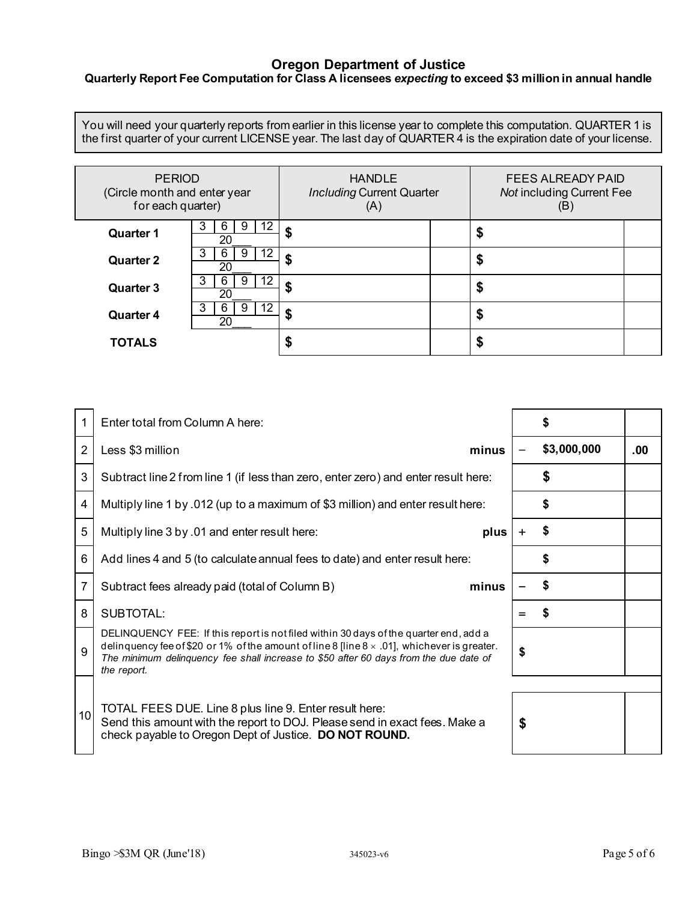#### **Oregon Department of Justice**

## **Quarterly Report Fee Computation for Class A licensees** *expecting* **to exceed \$3 million in annual handle**

You will need your quarterly reports from earlier in this license year to complete this computation. QUARTER 1 is the first quarter of your current LICENSE year. The last day of QUARTER 4 is the expiration date of your license.

| <b>PERIOD</b><br>(Circle month and enter year<br>for each quarter) |                          | <b>HANDLE</b><br><b>Including Current Quarter</b><br>(A) |  | <b>FEES ALREADY PAID</b><br><b>Not including Current Fee</b><br>(B) |   |  |
|--------------------------------------------------------------------|--------------------------|----------------------------------------------------------|--|---------------------------------------------------------------------|---|--|
| <b>Quarter 1</b>                                                   | 12<br>9<br>20            |                                                          |  |                                                                     | æ |  |
| <b>Quarter 2</b>                                                   | 12<br>20                 |                                                          |  |                                                                     | æ |  |
| <b>Quarter 3</b>                                                   | 12<br>3<br>9<br>b.<br>20 |                                                          |  |                                                                     | æ |  |
| <b>Quarter 4</b>                                                   | 12<br>9<br>3<br>6.<br>20 | æ                                                        |  |                                                                     | D |  |
| <b>TOTALS</b>                                                      |                          |                                                          |  |                                                                     |   |  |

|                         | Enter total from Column A here:                                                                                                                                                                                                                                                                      |     | S           |     |
|-------------------------|------------------------------------------------------------------------------------------------------------------------------------------------------------------------------------------------------------------------------------------------------------------------------------------------------|-----|-------------|-----|
| $\overline{2}$          | Less \$3 million<br>minus                                                                                                                                                                                                                                                                            |     | \$3,000,000 | .00 |
| $\mathbf{3}$            | Subtract line 2 from line 1 (if less than zero, enter zero) and enter result here:                                                                                                                                                                                                                   |     |             |     |
| $\overline{\mathbf{4}}$ | Multiply line 1 by .012 (up to a maximum of \$3 million) and enter result here:                                                                                                                                                                                                                      |     |             |     |
| 5                       | Multiply line 3 by .01 and enter result here:<br>plus                                                                                                                                                                                                                                                |     | \$          |     |
| $\,6$                   | Add lines 4 and 5 (to calculate annual fees to date) and enter result here:                                                                                                                                                                                                                          |     |             |     |
| $\overline{7}$          | minus<br>Subtract fees already paid (total of Column B)                                                                                                                                                                                                                                              |     | \$          |     |
| 8                       | <b>SUBTOTAL:</b>                                                                                                                                                                                                                                                                                     | $=$ | S           |     |
| 9                       | DELINQUENCY FEE: If this report is not filed within 30 days of the quarter end, add a<br>delinquency fee of \$20 or 1% of the amount of line 8 [line $8 \times .01$ ], whichever is greater.<br>The minimum delinquency fee shall increase to \$50 after 60 days from the due date of<br>the report. | \$  |             |     |
| 10 <sup>1</sup>         | TOTAL FEES DUE. Line 8 plus line 9. Enter result here:<br>Send this amount with the report to DOJ. Please send in exact fees. Make a<br>check payable to Oregon Dept of Justice. DO NOT ROUND.                                                                                                       | \$  |             |     |